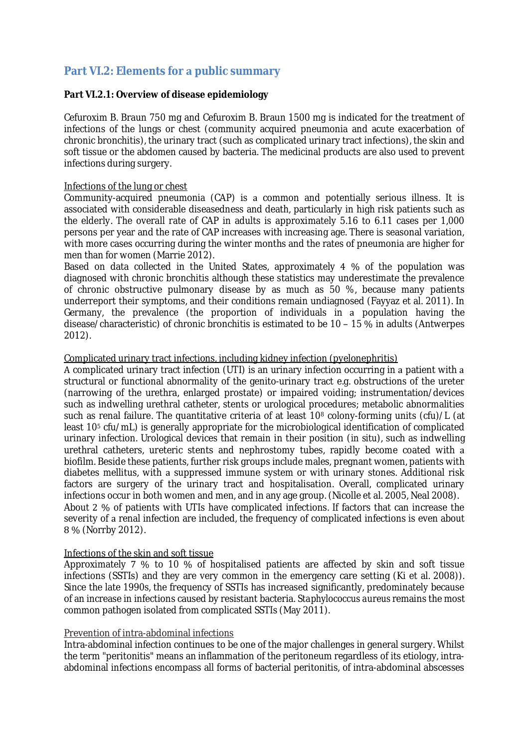## **Part VI.2: Elements for a public summary**

## **Part VI.2.1: Overview of disease epidemiology**

Cefuroxim B. Braun 750 mg and Cefuroxim B. Braun 1500 mg is indicated for the treatment of infections of the lungs or chest (community acquired pneumonia and acute exacerbation of chronic bronchitis), the urinary tract (such as complicated urinary tract infections), the skin and soft tissue or the abdomen caused by bacteria. The medicinal products are also used to prevent infections during surgery.

## Infections of the lung or chest

Community-acquired pneumonia (CAP) is common and potentially serious illness. It is associated with considerable diseasedness and death, particularly in high risk patients such as the elderly. The overall rate of CAP in adults is approximately 5.16 to 6.11 cases per 1,000 persons per year and the rate of CAP increases with increasing age. There is seasonal variation, with more cases occurring during the winter months and the rates of pneumonia are higher for men than for women (Marrie 2012).

Based on data collected in the United States, approximately 4 % of the population was diagnosed with chronic bronchitis although these statistics may underestimate the prevalence of chronic obstructive pulmonary disease by as much as 50 %, because many patients underreport their symptoms, and their conditions remain undiagnosed (Fayyaz et al. 2011). In Germany, the prevalence (the proportion of individuals in population having the disease/characteristic) of chronic bronchitis is estimated to be 10 - 15 % in adults (Antwerpes 2012).

## Complicated urinary tract infections, including kidney infection (pyelonephritis)

A complicated urinary tract infection (UTI) is an urinary infection occurring in a patient with a structural or functional abnormality of the genito-urinary tract e.g. obstructions of the ureter (narrowing of the urethra, enlarged prostate) or impaired voiding; instrumentation/devices such as indwelling urethral catheter, stents or urological procedures; metabolic abnormalities such as renal failure. The quantitative criteria of at least 10<sup>8</sup> colony-forming units (cfu)/L (at least 10<sup>5</sup> cfu/mL) is generally appropriate for the microbiological identification of complicated urinary infection. Urological devices that remain in their position (*in situ*), such as indwelling urethral catheters, ureteric stents and nephrostomy tubes, rapidly become coated with biofilm. Beside these patients, further risk groups include males, pregnant women, patients with diabetes mellitus, with a suppressed immune system or with urinary stones. Additional risk factors are surgery of the urinary tract and hospitalisation. Overall, complicated urinary infections occur in both women and men, and in any age group. (Nicolle et al. 2005, Neal 2008). About 2 % of patients with UTIs have complicated infections. If factors that can increase the severity of a renal infection are included, the frequency of complicated infections is even about 8 % (Norrby 2012).

## Infections of the skin and soft tissue

Approximately  $7\%$  to 10 % of hospitalised patients are affected by skin and soft tissue infections (SSTIs) and they are very common in the emergency care setting (Ki et al. 2008)). Since the late 1990s, the frequency of SSTIs has increased significantly, predominately because of an increase in infections caused by resistant bacteria. *Staphylococcus aureus* remains the most common pathogen isolated from complicated SSTIs (May 2011).

## Prevention of intra-abdominal infections

Intra-abdominal infection continues to be one of the major challenges in general surgery. Whilst the term "peritonitis" means an inflammation of the peritoneum regardless of its etiology, intraabdominal infections encompass all forms of bacterial peritonitis, of intra-abdominal abscesses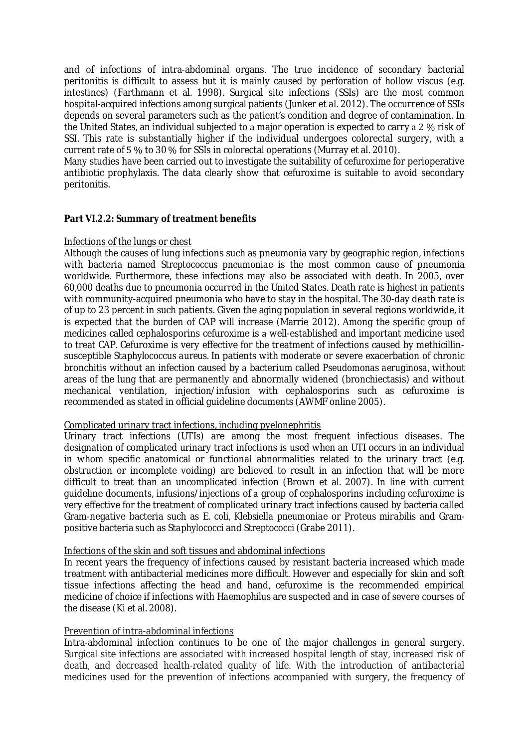and of infections of intra-abdominal organs. The true incidence of secondary bacterial peritonitis is difficult to assess but it is mainly caused by perforation of hollow viscus (e.g. intestines) (Farthmann et al. 1998). Surgical site infections (SSIs) are the most common hospital-acquired infections among surgical patients (Junker et al. 2012). The occurrence of SSIs depends on several parameters such as the patient's condition and degree of contamination. In the United States, an individual subjected to a major operation is expected to carry a 2 % risk of SSI. This rate is substantially higher if the individual undergoes colorectal surgery, with a current rate of  $5\%$  to 30 % for SSIs in colorectal operations (Murray et al. 2010).

Many studies have been carried out to investigate the suitability of cefuroxime for perioperative antibiotic prophylaxis. The data clearly show that cefuroxime is suitable to avoid secondary peritonitis.

#### **Part VI.2.2: Summary of treatment benefits**

#### Infections of the lungs or chest

Although the causes of lung infections such as pneumonia vary by geographic region, infections with bacteria named *Streptococcus pneumoniae* is the most common cause of pneumonia worldwide. Furthermore, these infections may also be associated with death. In 2005, over 60,000 deaths due to pneumonia occurred in the United States. Death rate is highest in patients with community-acquired pneumonia who have to stay in the hospital. The 30-day death rate is of up to 23 percent in such patients. Given the aging population in several regions worldwide, it is expected that the burden of CAP will increase (Marrie 2012). Among the specific group of medicines called cephalosporins cefuroxime is a well-established and important medicine used to treat CAP. Cefuroxime is very effective for the treatment of infections caused by methicillinsusceptible *Staphylococcus aureus.* In patients with moderate or severe exacerbation of chronic bronchitis without an infection caused by a bacterium called *Pseudomonas aeruginosa*, without areas of the lung that are permanently and abnormally widened (bronchiectasis) and without mechanical ventilation, injection/infusion with cephalosporins such as cefuroxime is recommended as stated in official guideline documents (AWMF online 2005).

#### Complicated urinary tract infections, including pyelonephritis

Urinary tract infections (UTIs) are among the most frequent infectious diseases. The designation of complicated urinary tract infections is used when an UTI occurs in an individual in whom specific anatomical or functional abnormalities related to the urinary tract (e.g. obstruction or incomplete voiding) are believed to result in an infection that will be more difficult to treat than an uncomplicated infection (Brown et al. 2007). In line with current guideline documents, infusions/injections of a group of cephalosporins including cefuroxime is very effective for the treatment of complicated urinary tract infections caused by bacteria called Gram-negative bacteria such as *E. coli, Klebsiella pneumoniae* or *Proteus mirabilis* and Grampositive bacteria such as *Staphylococci* and *Streptococci* (Grabe 2011)*.*

## Infections of the skin and soft tissues and abdominal infections

In recent years the frequency of infections caused by resistant bacteria increased which made treatment with antibacterial medicines more difficult. However and especially for skin and soft tissue infections affecting the head and hand, cefuroxime is the recommended empirical medicine of choice if infections with *Haemophilus* are suspected and in case of severe courses of the disease (Ki et al. 2008).

## Prevention of intra-abdominal infections

Intra-abdominal infection continues to be one of the major challenges in general surgery. Surgical site infections are associated with increased hospital length of stay, increased risk of death, and decreased health-related quality of life. With the introduction of antibacterial medicines used for the prevention of infections accompanied with surgery, the frequency of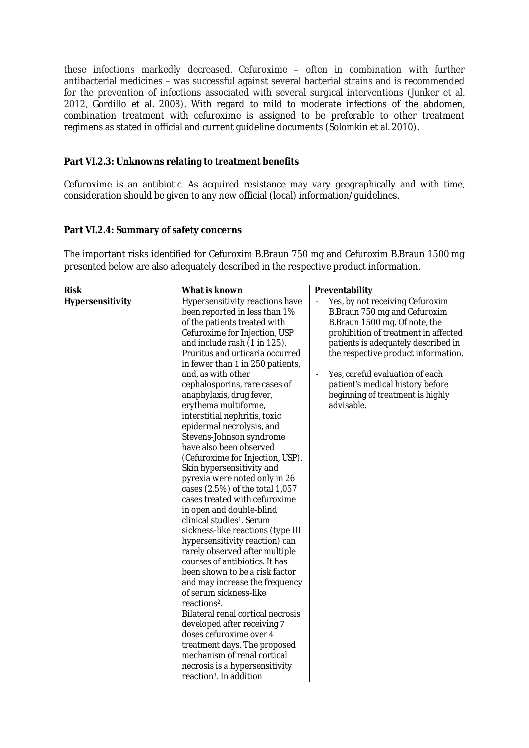these infections markedly decreased. Cefuroxime - often in combination with further antibacterial medicines - was successful against several bacterial strains and is recommended for the prevention of infections associated with several surgical interventions (Junker et al. 2012, Gordillo et al. 2008). With regard to mild to moderate infections of the abdomen, combination treatment with cefuroxime is assigned to be preferable to other treatment regimens as stated in official and current guideline documents (Solomkin et al. 2010).

## **Part VI.2.3: Unknowns relating to treatment benefits**

Cefuroxime is an antibiotic. As acquired resistance may vary geographically and with time, consideration should be given to any new official (local) information/guidelines.

## **Part VI.2.4: Summary of safety concerns**

The important risks identified for Cefuroxim B.Braun 750 mg and Cefuroxim B.Braun 1500 mg presented below are also adequately described in the respective product information.

| <b>Risk</b>      | What is known                                                                                                                                                                                                                                                                                                                                                                                                                                                                                                                                                                                                                                                                                                                                                                                                                                                                                                                                                                                                                                                                                                                                                                                                                   | Preventability                                                                                                                                                                                                                                                                                                                                  |
|------------------|---------------------------------------------------------------------------------------------------------------------------------------------------------------------------------------------------------------------------------------------------------------------------------------------------------------------------------------------------------------------------------------------------------------------------------------------------------------------------------------------------------------------------------------------------------------------------------------------------------------------------------------------------------------------------------------------------------------------------------------------------------------------------------------------------------------------------------------------------------------------------------------------------------------------------------------------------------------------------------------------------------------------------------------------------------------------------------------------------------------------------------------------------------------------------------------------------------------------------------|-------------------------------------------------------------------------------------------------------------------------------------------------------------------------------------------------------------------------------------------------------------------------------------------------------------------------------------------------|
| Hypersensitivity | Hypersensitivity reactions have<br>been reported in less than 1%<br>of the patients treated with<br>Cefuroxime for Injection, USP<br>and include rash (1 in 125).<br>Pruritus and urticaria occurred<br>in fewer than 1 in 250 patients,<br>and, as with other<br>cephalosporins, rare cases of<br>anaphylaxis, drug fever,<br>erythema multiforme,<br>interstitial nephritis, toxic<br>epidermal necrolysis, and<br>Stevens-Johnson syndrome<br>have also been observed<br>(Cefuroxime for Injection, USP).<br>Skin hypersensitivity and<br>pyrexia were noted only in 26<br>cases (2.5%) of the total 1,057<br>cases treated with cefuroxime<br>in open and double-blind<br>clinical studies <sup>1</sup> . Serum<br>sickness-like reactions (type III<br>hypersensitivity reaction) can<br>rarely observed after multiple<br>courses of antibiotics. It has<br>been shown to be a risk factor<br>and may increase the frequency<br>of serum sickness-like<br>reactions <sup>2</sup> .<br>Bilateral renal cortical necrosis<br>developed after receiving 7<br>doses cefuroxime over 4<br>treatment days. The proposed<br>mechanism of renal cortical<br>necrosis is a hypersensitivity<br>reaction <sup>3</sup> . In addition | Yes, by not receiving Cefuroxim<br>B.Braun 750 mg and Cefuroxim<br>B.Braun 1500 mg. Of note, the<br>prohibition of treatment in affected<br>patients is adequately described in<br>the respective product information.<br>Yes, careful evaluation of each<br>patient's medical history before<br>beginning of treatment is highly<br>advisable. |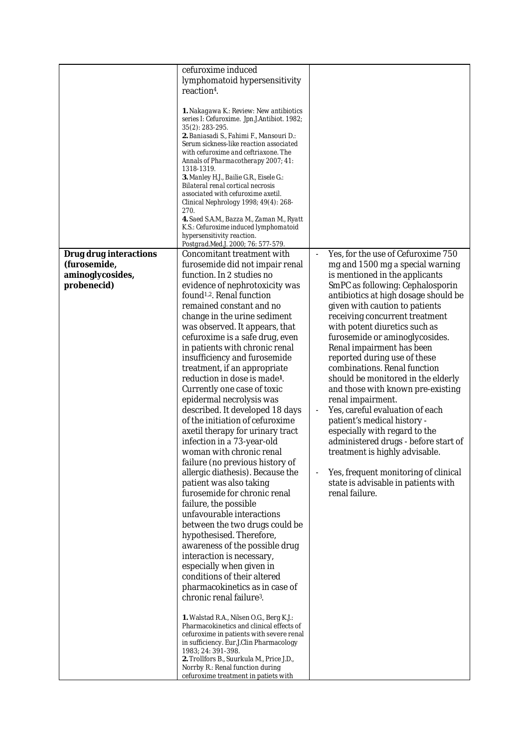|                                                                           | cefuroxime induced<br>lymphomatoid hypersensitivity<br>reaction <sup>4</sup> .<br>1. Nakagawa K.: Review: New antibiotics<br>series I: Cefuroxime. Jpn.J.Antibiot. 1982;<br>35(2): 283-295.<br>2. Baniasadi S., Fahimi F., Mansouri D.:<br>Serum sickness-like reaction associated<br>with cefuroxime and ceftriaxone. The<br>Annals of Pharmacotherapy 2007; 41:<br>1318-1319.<br>3. Manley H.J., Bailie G.R., Eisele G.:<br>Bilateral renal cortical necrosis<br>associated with cefuroxime axetil.<br>Clinical Nephrology 1998; 49(4): 268-<br>270.<br>4. Saed S.A.M., Bazza M., Zaman M., Ryatt<br>K.S.: Cefuroxime induced lymphomatoid<br>hypersensitivity reaction.<br>Postgrad.Med.J. 2000; 76: 577-579.                                                                                                                                                                                                                                                                                                                                                                                                                                                                                                                                                                                                                                                                                                                                                            |                                                                                                                                                                                                                                                                                                                                                                                                                                                                                                                                                                                                                                                                                                                                                                                                        |
|---------------------------------------------------------------------------|-----------------------------------------------------------------------------------------------------------------------------------------------------------------------------------------------------------------------------------------------------------------------------------------------------------------------------------------------------------------------------------------------------------------------------------------------------------------------------------------------------------------------------------------------------------------------------------------------------------------------------------------------------------------------------------------------------------------------------------------------------------------------------------------------------------------------------------------------------------------------------------------------------------------------------------------------------------------------------------------------------------------------------------------------------------------------------------------------------------------------------------------------------------------------------------------------------------------------------------------------------------------------------------------------------------------------------------------------------------------------------------------------------------------------------------------------------------------------------|--------------------------------------------------------------------------------------------------------------------------------------------------------------------------------------------------------------------------------------------------------------------------------------------------------------------------------------------------------------------------------------------------------------------------------------------------------------------------------------------------------------------------------------------------------------------------------------------------------------------------------------------------------------------------------------------------------------------------------------------------------------------------------------------------------|
| Drug drug interactions<br>(furosemide,<br>aminoglycosides,<br>probenecid) | Concomitant treatment with<br>furosemide did not impair renal<br>function. In 2 studies no<br>evidence of nephrotoxicity was<br>found <sup>1,2</sup> . Renal function<br>remained constant and no<br>change in the urine sediment<br>was observed. It appears, that<br>cefuroxime is a safe drug, even<br>in patients with chronic renal<br>insufficiency and furosemide<br>treatment, if an appropriate<br>reduction in dose is made <sup>1</sup> .<br>Currently one case of toxic<br>epidermal necrolysis was<br>described. It developed 18 days<br>of the initiation of cefuroxime<br>axetil therapy for urinary tract<br>infection in a 73-year-old<br>woman with chronic renal<br>failure (no previous history of<br>allergic diathesis). Because the<br>patient was also taking<br>furosemide for chronic renal<br>failure, the possible<br>unfavourable interactions<br>between the two drugs could be<br>hypothesised. Therefore,<br>awareness of the possible drug<br>interaction is necessary,<br>especially when given in<br>conditions of their altered<br>pharmacokinetics as in case of<br>chronic renal failure <sup>3</sup> .<br>1. Walstad R.A., Nilsen O.G., Berg K.J.:<br>Pharmacokinetics and clinical effects of<br>cefuroxime in patients with severe renal<br>in sufficiency. Eur.J.Clin Pharmacology<br>1983; 24: 391-398.<br>2. Trollfors B., Suurkula M., Price J.D.,<br>Norrby R.: Renal function during<br>cefuroxime treatment in patiets with | Yes, for the use of Cefuroxime 750<br>mg and 1500 mg a special warning<br>is mentioned in the applicants<br>SmPC as following: Cephalosporin<br>antibiotics at high dosage should be<br>given with caution to patients<br>receiving concurrent treatment<br>with potent diuretics such as<br>furosemide or aminoglycosides.<br>Renal impairment has been<br>reported during use of these<br>combinations. Renal function<br>should be monitored in the elderly<br>and those with known pre-existing<br>renal impairment.<br>Yes, careful evaluation of each<br>patient's medical history -<br>especially with regard to the<br>administered drugs - before start of<br>treatment is highly advisable.<br>Yes, frequent monitoring of clinical<br>state is advisable in patients with<br>renal failure. |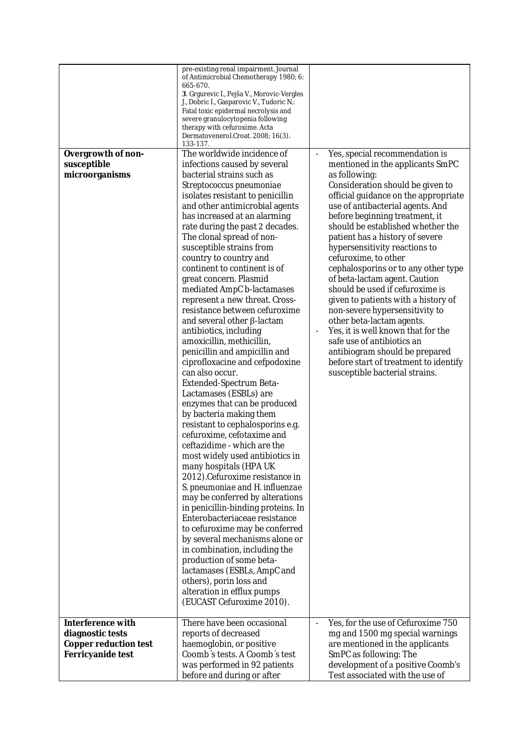| Overgrowth of non-<br>susceptible<br>microorganisms                                 | pre-existing renal impairment. Journal<br>of Antimicrobial Chemotherapy 1980; 6:<br>665-670.<br>3. Grgurevic I., Pejša V., Morovic-Vergles<br>J., Dobric I., Gasparovic V., Tudoric N.:<br>Fatal toxic epidermal necrolysis and<br>severe granulocytopenia following<br>therapy with cefuroxime. Acta<br>Dermatovenerol.Croat. 2008; 16(3).<br>133-137.<br>The worldwide incidence of<br>infections caused by several<br>bacterial strains such as<br>Streptococcus pneumoniae<br>isolates resistant to penicillin<br>and other antimicrobial agents<br>has increased at an alarming<br>rate during the past 2 decades.<br>The clonal spread of non-<br>susceptible strains from<br>country to country and<br>continent to continent is of<br>great concern. Plasmid<br>mediated AmpC b-lactamases<br>represent a new threat. Cross-<br>resistance between cefuroxime<br>and several other $\beta$ -lactam<br>antibiotics, including<br>amoxicillin, methicillin,<br>penicillin and ampicillin and<br>ciprofloxacine and cefpodoxine<br>can also occur.<br>Extended-Spectrum Beta-<br>Lactamases (ESBLs) are<br>enzymes that can be produced<br>by bacteria making them<br>resistant to cephalosporins e.g. | Yes, special recommendation is<br>mentioned in the applicants SmPC<br>as following:<br>Consideration should be given to<br>official guidance on the appropriate<br>use of antibacterial agents. And<br>before beginning treatment, it<br>should be established whether the<br>patient has a history of severe<br>hypersensitivity reactions to<br>cefuroxime, to other<br>cephalosporins or to any other type<br>of beta-lactam agent. Caution<br>should be used if cefuroxime is<br>given to patients with a history of<br>non-severe hypersensitivity to<br>other beta-lactam agents.<br>Yes, it is well known that for the<br>safe use of antibiotics an<br>antibiogram should be prepared<br>before start of treatment to identify<br>susceptible bacterial strains. |
|-------------------------------------------------------------------------------------|-------------------------------------------------------------------------------------------------------------------------------------------------------------------------------------------------------------------------------------------------------------------------------------------------------------------------------------------------------------------------------------------------------------------------------------------------------------------------------------------------------------------------------------------------------------------------------------------------------------------------------------------------------------------------------------------------------------------------------------------------------------------------------------------------------------------------------------------------------------------------------------------------------------------------------------------------------------------------------------------------------------------------------------------------------------------------------------------------------------------------------------------------------------------------------------------------------------|--------------------------------------------------------------------------------------------------------------------------------------------------------------------------------------------------------------------------------------------------------------------------------------------------------------------------------------------------------------------------------------------------------------------------------------------------------------------------------------------------------------------------------------------------------------------------------------------------------------------------------------------------------------------------------------------------------------------------------------------------------------------------|
|                                                                                     | cefuroxime, cefotaxime and<br>ceftazidime - which are the<br>most widely used antibiotics in<br>many hospitals (HPA UK<br>2012).Cefuroxime resistance in<br>S. pneumoniae and H. influenzae<br>may be conferred by alterations<br>in penicillin-binding proteins. In<br>Enterobacteriaceae resistance<br>to cefuroxime may be conferred<br>by several mechanisms alone or<br>in combination, including the<br>production of some beta-<br>lactamases (ESBLs, AmpC and<br>others), porin loss and                                                                                                                                                                                                                                                                                                                                                                                                                                                                                                                                                                                                                                                                                                            |                                                                                                                                                                                                                                                                                                                                                                                                                                                                                                                                                                                                                                                                                                                                                                          |
|                                                                                     | alteration in efflux pumps<br>(EUCAST Cefuroxime 2010).                                                                                                                                                                                                                                                                                                                                                                                                                                                                                                                                                                                                                                                                                                                                                                                                                                                                                                                                                                                                                                                                                                                                                     |                                                                                                                                                                                                                                                                                                                                                                                                                                                                                                                                                                                                                                                                                                                                                                          |
| Interference with<br>diagnostic tests<br>Copper reduction test<br>Ferricyanide test | There have been occasional<br>reports of decreased<br>haemoglobin, or positive<br>Coomb's tests. A Coomb's test<br>was performed in 92 patients<br>before and during or after                                                                                                                                                                                                                                                                                                                                                                                                                                                                                                                                                                                                                                                                                                                                                                                                                                                                                                                                                                                                                               | Yes, for the use of Cefuroxime 750<br>$\blacksquare$<br>mg and 1500 mg special warnings<br>are mentioned in the applicants<br>SmPC as following: The<br>development of a positive Coomb's<br>Test associated with the use of                                                                                                                                                                                                                                                                                                                                                                                                                                                                                                                                             |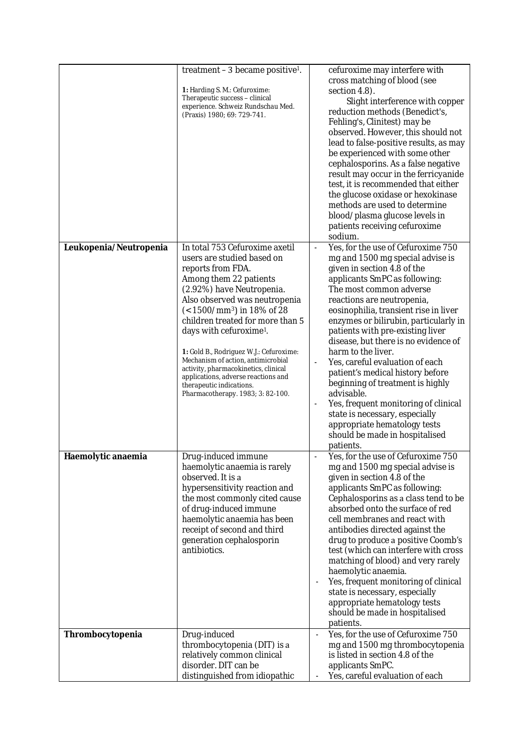|                        | treatment - 3 became positive <sup>1</sup> .<br>1: Harding S. M.: Cefuroxime:<br>Therapeutic success - clinical<br>experience. Schweiz Rundschau Med.<br>(Praxis) 1980; 69: 729-741.                                                                                                                                                                                                                                                                                                                                  | cefuroxime may interfere with<br>cross matching of blood (see<br>section 4.8).<br>Slight interference with copper<br>reduction methods (Benedict's,<br>Fehling's, Clinitest) may be<br>observed. However, this should not<br>lead to false-positive results, as may<br>be experienced with some other<br>cephalosporins. As a false negative<br>result may occur in the ferricyanide<br>test, it is recommended that either<br>the glucose oxidase or hexokinase<br>methods are used to determine<br>blood/plasma glucose levels in<br>patients receiving cefuroxime<br>sodium.                                                                                                         |
|------------------------|-----------------------------------------------------------------------------------------------------------------------------------------------------------------------------------------------------------------------------------------------------------------------------------------------------------------------------------------------------------------------------------------------------------------------------------------------------------------------------------------------------------------------|-----------------------------------------------------------------------------------------------------------------------------------------------------------------------------------------------------------------------------------------------------------------------------------------------------------------------------------------------------------------------------------------------------------------------------------------------------------------------------------------------------------------------------------------------------------------------------------------------------------------------------------------------------------------------------------------|
| Leukopenia/Neutropenia | In total 753 Cefuroxime axetil<br>users are studied based on<br>reports from FDA.<br>Among them 22 patients<br>(2.92%) have Neutropenia.<br>Also observed was neutropenia<br>$(< 1500/mm^3)$ in 18% of 28<br>children treated for more than 5<br>days with cefuroxime <sup>1</sup> .<br>1: Gold B., Rodriguez W.J.: Cefuroxime:<br>Mechanism of action, antimicrobial<br>activity, pharmacokinetics, clinical<br>applications, adverse reactions and<br>therapeutic indications.<br>Pharmacotherapy. 1983; 3: 82-100. | Yes, for the use of Cefuroxime 750<br>$\overline{a}$<br>mg and 1500 mg special advise is<br>given in section 4.8 of the<br>applicants SmPC as following:<br>The most common adverse<br>reactions are neutropenia,<br>eosinophilia, transient rise in liver<br>enzymes or bilirubin, particularly in<br>patients with pre-existing liver<br>disease, but there is no evidence of<br>harm to the liver.<br>Yes, careful evaluation of each<br>patient's medical history before<br>beginning of treatment is highly<br>advisable.<br>Yes, frequent monitoring of clinical<br>state is necessary, especially<br>appropriate hematology tests<br>should be made in hospitalised<br>patients. |
| Haemolytic anaemia     | Drug-induced immune<br>haemolytic anaemia is rarely<br>observed. It is a<br>hypersensitivity reaction and<br>the most commonly cited cause<br>of drug-induced immune<br>haemolytic anaemia has been<br>receipt of second and third<br>generation cephalosporin<br>antibiotics.                                                                                                                                                                                                                                        | Yes, for the use of Cefuroxime 750<br>mg and 1500 mg special advise is<br>given in section 4.8 of the<br>applicants SmPC as following:<br>Cephalosporins as a class tend to be<br>absorbed onto the surface of red<br>cell membranes and react with<br>antibodies directed against the<br>drug to produce a positive Coomb's<br>test (which can interfere with cross<br>matching of blood) and very rarely<br>haemolytic anaemia.<br>Yes, frequent monitoring of clinical<br>$\overline{\phantom{a}}$<br>state is necessary, especially<br>appropriate hematology tests<br>should be made in hospitalised<br>patients.                                                                  |
| Thrombocytopenia       | Drug-induced<br>thrombocytopenia (DIT) is a<br>relatively common clinical<br>disorder. DIT can be<br>distinguished from idiopathic                                                                                                                                                                                                                                                                                                                                                                                    | Yes, for the use of Cefuroxime 750<br>$\overline{\phantom{a}}$<br>mg and 1500 mg thrombocytopenia<br>is listed in section 4.8 of the<br>applicants SmPC.<br>Yes, careful evaluation of each                                                                                                                                                                                                                                                                                                                                                                                                                                                                                             |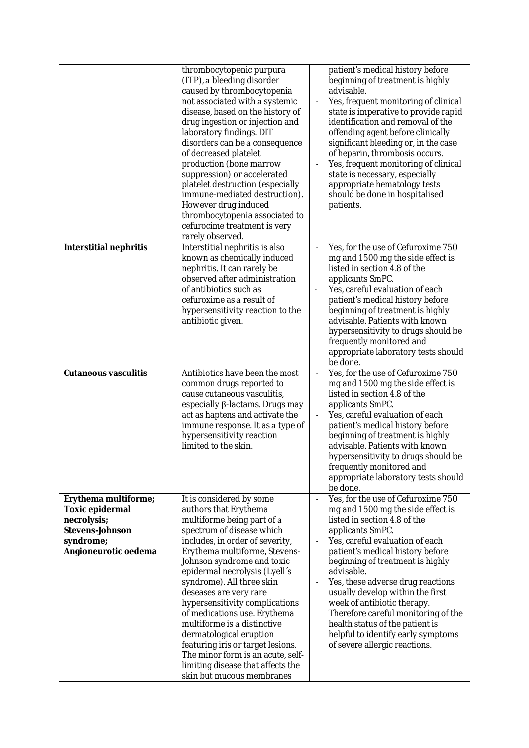|                                                                                                                | thrombocytopenic purpura<br>(ITP), a bleeding disorder<br>caused by thrombocytopenia<br>not associated with a systemic<br>disease, based on the history of<br>drug ingestion or injection and<br>laboratory findings. DIT<br>disorders can be a consequence<br>of decreased platelet<br>production (bone marrow<br>suppression) or accelerated<br>platelet destruction (especially<br>immune-mediated destruction).<br>However drug induced<br>thrombocytopenia associated to<br>cefurocime treatment is very<br>rarely observed.                                              | patient's medical history before<br>beginning of treatment is highly<br>advisable.<br>Yes, frequent monitoring of clinical<br>state is imperative to provide rapid<br>identification and removal of the<br>offending agent before clinically<br>significant bleeding or, in the case<br>of heparin, thrombosis occurs.<br>Yes, frequent monitoring of clinical<br>state is necessary, especially<br>appropriate hematology tests<br>should be done in hospitalised<br>patients.                               |
|----------------------------------------------------------------------------------------------------------------|--------------------------------------------------------------------------------------------------------------------------------------------------------------------------------------------------------------------------------------------------------------------------------------------------------------------------------------------------------------------------------------------------------------------------------------------------------------------------------------------------------------------------------------------------------------------------------|---------------------------------------------------------------------------------------------------------------------------------------------------------------------------------------------------------------------------------------------------------------------------------------------------------------------------------------------------------------------------------------------------------------------------------------------------------------------------------------------------------------|
| Interstitial nephritis                                                                                         | Interstitial nephritis is also<br>known as chemically induced<br>nephritis. It can rarely be<br>observed after administration<br>of antibiotics such as<br>cefuroxime as a result of<br>hypersensitivity reaction to the<br>antibiotic given.                                                                                                                                                                                                                                                                                                                                  | Yes, for the use of Cefuroxime 750<br>mg and 1500 mg the side effect is<br>listed in section 4.8 of the<br>applicants SmPC.<br>Yes, careful evaluation of each<br>patient's medical history before<br>beginning of treatment is highly<br>advisable. Patients with known<br>hypersensitivity to drugs should be<br>frequently monitored and<br>appropriate laboratory tests should<br>be done.                                                                                                                |
| Cutaneous vasculitis                                                                                           | Antibiotics have been the most<br>common drugs reported to<br>cause cutaneous vasculitis,<br>especially β-lactams. Drugs may<br>act as haptens and activate the<br>immune response. It as a type of<br>hypersensitivity reaction<br>limited to the skin.                                                                                                                                                                                                                                                                                                                       | Yes, for the use of Cefuroxime 750<br>$\blacksquare$<br>mg and 1500 mg the side effect is<br>listed in section 4.8 of the<br>applicants SmPC.<br>Yes, careful evaluation of each<br>patient's medical history before<br>beginning of treatment is highly<br>advisable. Patients with known<br>hypersensitivity to drugs should be<br>frequently monitored and<br>appropriate laboratory tests should<br>be done.                                                                                              |
| Erythema multiforme;<br>Toxic epidermal<br>necrolysis;<br>Stevens-Johnson<br>syndrome;<br>Angioneurotic oedema | It is considered by some<br>authors that Erythema<br>multiforme being part of a<br>spectrum of disease which<br>includes, in order of severity,<br>Erythema multiforme, Stevens-<br>Johnson syndrome and toxic<br>epidermal necrolysis (Lyell's<br>syndrome). All three skin<br>deseases are very rare<br>hypersensitivity complications<br>of medications use. Erythema<br>multiforme is a distinctive<br>dermatological eruption<br>featuring iris or target lesions.<br>The minor form is an acute, self-<br>limiting disease that affects the<br>skin but mucous membranes | Yes, for the use of Cefuroxime 750<br>mg and 1500 mg the side effect is<br>listed in section 4.8 of the<br>applicants SmPC.<br>Yes, careful evaluation of each<br>patient's medical history before<br>beginning of treatment is highly<br>advisable.<br>Yes, these adverse drug reactions<br>usually develop within the first<br>week of antibiotic therapy.<br>Therefore careful monitoring of the<br>health status of the patient is<br>helpful to identify early symptoms<br>of severe allergic reactions. |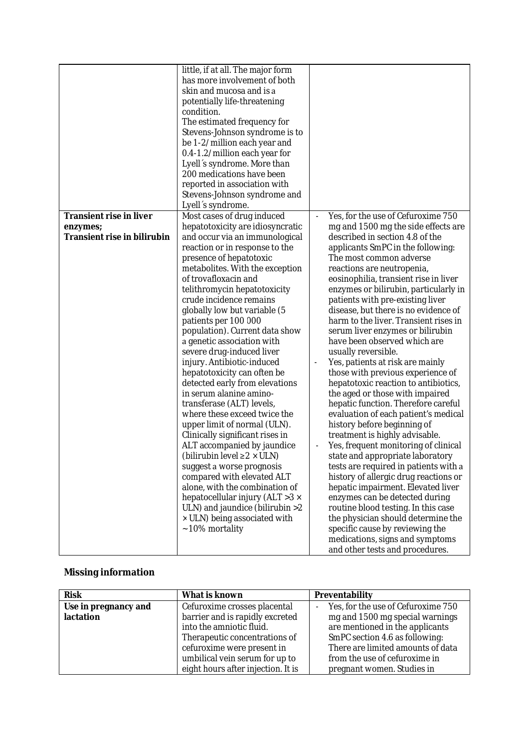|                                                                    | little, if at all. The major form<br>has more involvement of both<br>skin and mucosa and is a<br>potentially life-threatening<br>condition.<br>The estimated frequency for<br>Stevens-Johnson syndrome is to<br>be 1-2/million each year and<br>0.4-1.2/million each year for<br>Lyell's syndrome. More than<br>200 medications have been<br>reported in association with                                                                                                                                                                                                                                                                                                                                                                                                                                                                                                                                                                                                                                                                                     |                                                                                                                                                                                                                                                                                                                                                                                                                                                                                                                                                                                                                                                                                                                                                                                                                                                                                                                                                                                                                                                                                                                                                                                                                                              |
|--------------------------------------------------------------------|---------------------------------------------------------------------------------------------------------------------------------------------------------------------------------------------------------------------------------------------------------------------------------------------------------------------------------------------------------------------------------------------------------------------------------------------------------------------------------------------------------------------------------------------------------------------------------------------------------------------------------------------------------------------------------------------------------------------------------------------------------------------------------------------------------------------------------------------------------------------------------------------------------------------------------------------------------------------------------------------------------------------------------------------------------------|----------------------------------------------------------------------------------------------------------------------------------------------------------------------------------------------------------------------------------------------------------------------------------------------------------------------------------------------------------------------------------------------------------------------------------------------------------------------------------------------------------------------------------------------------------------------------------------------------------------------------------------------------------------------------------------------------------------------------------------------------------------------------------------------------------------------------------------------------------------------------------------------------------------------------------------------------------------------------------------------------------------------------------------------------------------------------------------------------------------------------------------------------------------------------------------------------------------------------------------------|
| Transient rise in liver<br>enzymes;<br>Transient rise in bilirubin | Stevens-Johnson syndrome and<br>Lyell's syndrome.<br>Most cases of drug induced<br>hepatotoxicity are idiosyncratic<br>and occur via an immunological<br>reaction or in response to the<br>presence of hepatotoxic<br>metabolites. With the exception<br>of trovafloxacin and<br>telithromycin hepatotoxicity<br>crude incidence remains<br>globally low but variable (5<br>patients per 100 000<br>population). Current data show<br>a genetic association with<br>severe drug-induced liver<br>injury. Antibiotic-induced<br>hepatotoxicity can often be<br>detected early from elevations<br>in serum alanine amino-<br>transferase (ALT) levels,<br>where these exceed twice the<br>upper limit of normal (ULN).<br>Clinically significant rises in<br>ALT accompanied by jaundice<br>(bilirubin level $\geq 2 \times \text{ULN}$ )<br>suggest a worse prognosis<br>compared with elevated ALT<br>alone, with the combination of<br>hepatocellular injury (ALT > 3 x<br>ULN) and jaundice (bilirubin >2<br>× ULN) being associated with<br>~10% mortality | Yes, for the use of Cefuroxime 750<br>mg and 1500 mg the side effects are<br>described in section 4.8 of the<br>applicants SmPC in the following:<br>The most common adverse<br>reactions are neutropenia,<br>eosinophilia, transient rise in liver<br>enzymes or bilirubin, particularly in<br>patients with pre-existing liver<br>disease, but there is no evidence of<br>harm to the liver. Transient rises in<br>serum liver enzymes or bilirubin<br>have been observed which are<br>usually reversible.<br>Yes, patients at risk are mainly<br>those with previous experience of<br>hepatotoxic reaction to antibiotics,<br>the aged or those with impaired<br>hepatic function. Therefore careful<br>evaluation of each patient's medical<br>history before beginning of<br>treatment is highly advisable.<br>Yes, frequent monitoring of clinical<br>state and appropriate laboratory<br>tests are required in patients with a<br>history of allergic drug reactions or<br>hepatic impairment. Elevated liver<br>enzymes can be detected during<br>routine blood testing. In this case<br>the physician should determine the<br>specific cause by reviewing the<br>medications, signs and symptoms<br>and other tests and procedures. |

# **Missing information**

| <b>Risk</b>          | What is known                      | Preventability                     |
|----------------------|------------------------------------|------------------------------------|
| Use in pregnancy and | Cefuroxime crosses placental       | Yes, for the use of Cefuroxime 750 |
| lactation            | barrier and is rapidly excreted    | mg and 1500 mg special warnings    |
|                      | into the amniotic fluid.           | are mentioned in the applicants    |
|                      | Therapeutic concentrations of      | SmPC section 4.6 as following:     |
|                      | cefuroxime were present in         | There are limited amounts of data  |
|                      | umbilical vein serum for up to     | from the use of cefuroxime in      |
|                      | eight hours after injection. It is | pregnant women. Studies in         |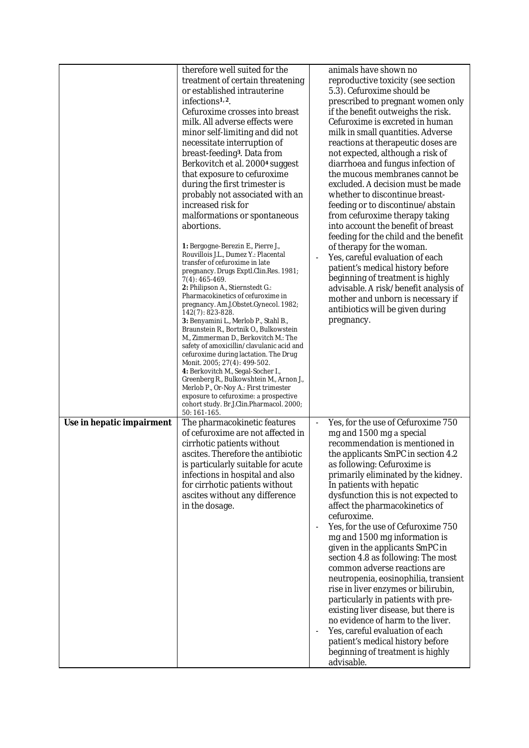|                           | therefore well suited for the<br>treatment of certain threatening<br>or established intrauterine<br>infections <sup>1,2</sup> .<br>Cefuroxime crosses into breast<br>milk. All adverse effects were<br>minor self-limiting and did not<br>necessitate interruption of<br>breast-feeding <sup>3</sup> . Data from<br>Berkovitch et al. 2000 <sup>4</sup> suggest<br>that exposure to cefuroxime<br>during the first trimester is<br>probably not associated with an<br>increased risk for<br>malformations or spontaneous<br>abortions.<br>1: Bergogne-Berezin E., Pierre J.,<br>Rouvillois J.L., Dumez Y.: Placental<br>transfer of cefuroxime in late<br>pregnancy. Drugs Exptl.Clin.Res. 1981;<br>7(4): 465-469.<br>2: Philipson A., Stiernstedt G.:<br>Pharmacokinetics of cefuroxime in<br>pregnancy. Am.J.Obstet.Gynecol. 1982;<br>142(7): 823-828.<br>3: Benyamini L., Merlob P., Stahl B.,<br>Braunstein R., Bortnik O., Bulkowstein<br>M., Zimmerman D., Berkovitch M.: The<br>safety of amoxicillin/clavulanic acid and<br>cefuroxime during lactation. The Drug<br>Monit. 2005; 27(4): 499-502.<br>4: Berkovitch M., Segal-Socher I.,<br>Greenberg R., Bulkowshtein M., Arnon J.,<br>Merlob P., Or-Noy A.: First trimester<br>exposure to cefuroxime: a prospective<br>cohort study. Br.J.Clin.Pharmacol. 2000;<br>50: 161-165. | animals have shown no<br>reproductive toxicity (see section<br>5.3). Cefuroxime should be<br>prescribed to pregnant women only<br>if the benefit outweighs the risk.<br>Cefuroxime is excreted in human<br>milk in small quantities. Adverse<br>reactions at therapeutic doses are<br>not expected, although a risk of<br>diarrhoea and fungus infection of<br>the mucous membranes cannot be<br>excluded. A decision must be made<br>whether to discontinue breast-<br>feeding or to discontinue/abstain<br>from cefuroxime therapy taking<br>into account the benefit of breast<br>feeding for the child and the benefit<br>of therapy for the woman.<br>Yes, careful evaluation of each<br>patient's medical history before<br>beginning of treatment is highly<br>advisable. A risk/benefit analysis of<br>mother and unborn is necessary if<br>antibiotics will be given during<br>pregnancy. |
|---------------------------|-------------------------------------------------------------------------------------------------------------------------------------------------------------------------------------------------------------------------------------------------------------------------------------------------------------------------------------------------------------------------------------------------------------------------------------------------------------------------------------------------------------------------------------------------------------------------------------------------------------------------------------------------------------------------------------------------------------------------------------------------------------------------------------------------------------------------------------------------------------------------------------------------------------------------------------------------------------------------------------------------------------------------------------------------------------------------------------------------------------------------------------------------------------------------------------------------------------------------------------------------------------------------------------------------------------------------------------------|----------------------------------------------------------------------------------------------------------------------------------------------------------------------------------------------------------------------------------------------------------------------------------------------------------------------------------------------------------------------------------------------------------------------------------------------------------------------------------------------------------------------------------------------------------------------------------------------------------------------------------------------------------------------------------------------------------------------------------------------------------------------------------------------------------------------------------------------------------------------------------------------------|
| Use in hepatic impairment | The pharmacokinetic features<br>of cefuroxime are not affected in<br>cirrhotic patients without<br>ascites. Therefore the antibiotic<br>is particularly suitable for acute<br>infections in hospital and also<br>for cirrhotic patients without<br>ascites without any difference<br>in the dosage.                                                                                                                                                                                                                                                                                                                                                                                                                                                                                                                                                                                                                                                                                                                                                                                                                                                                                                                                                                                                                                       | Yes, for the use of Cefuroxime 750<br>mg and 1500 mg a special<br>recommendation is mentioned in<br>the applicants SmPC in section 4.2<br>as following: Cefuroxime is<br>primarily eliminated by the kidney.<br>In patients with hepatic<br>dysfunction this is not expected to<br>affect the pharmacokinetics of<br>cefuroxime.<br>Yes, for the use of Cefuroxime 750<br>mg and 1500 mg information is<br>given in the applicants SmPC in<br>section 4.8 as following: The most<br>common adverse reactions are<br>neutropenia, eosinophilia, transient<br>rise in liver enzymes or bilirubin,<br>particularly in patients with pre-<br>existing liver disease, but there is<br>no evidence of harm to the liver.<br>Yes, careful evaluation of each<br>patient's medical history before<br>beginning of treatment is highly<br>advisable.                                                        |